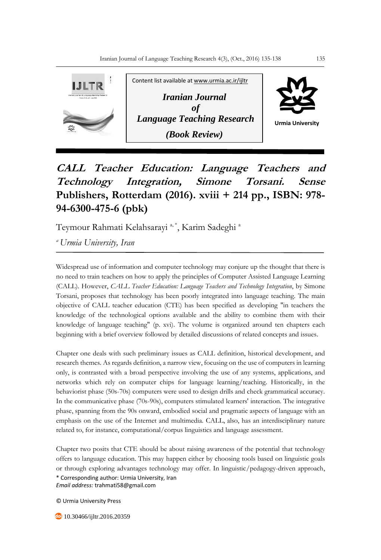

**CALL Teacher Education: Language Teachers and Technology Integration, Simone Torsani. Sense Publishers, Rotterdam (2016). xviii + 214 pp., ISBN: 978- 94-6300-475-6 (pbk)**

Teymour Rahmati Kelahsarayi <sup>a, \*</sup>, Karim Sadeghi <sup>a</sup>

*<sup>a</sup>Urmia University, Iran*

Widespread use of information and computer technology may conjure up the thought that there is no need to train teachers on how to apply the principles of Computer Assisted Language Learning (CALL). However, *CALL Teacher Education: Language Teachers and Technology Integration*, by Simone Torsani, proposes that technology has been poorly integrated into language teaching. The main objective of CALL teacher education (CTE) has been specified as developing "in teachers the knowledge of the technological options available and the ability to combine them with their knowledge of language teaching" (p. xvi). The volume is organized around ten chapters each beginning with a brief overview followed by detailed discussions of related concepts and issues.

Chapter one deals with such preliminary issues as CALL definition, historical development, and research themes. As regards definition, a narrow view, focusing on the use of computers in learning only, is contrasted with a broad perspective involving the use of any systems, applications, and networks which rely on computer chips for language learning/teaching. Historically, in the behaviorist phase (50s-70s) computers were used to design drills and check grammatical accuracy. In the communicative phase (70s-90s), computers stimulated learners' interaction. The integrative phase, spanning from the 90s onward, embodied social and pragmatic aspects of language with an emphasis on the use of the Internet and multimedia. CALL, also, has an interdisciplinary nature related to, for instance, computational/corpus linguistics and language assessment.

\* Corresponding author: Urmia University, Iran *Email address:* trahmati58@gmail.com Chapter two posits that CTE should be about raising awareness of the potential that technology offers to language education. This may happen either by choosing tools based on linguistic goals or through exploring advantages technology may offer. In linguistic/pedagogy-driven approach,

© Urmia University Press

**do** 10.30466/ijltr.2016.20359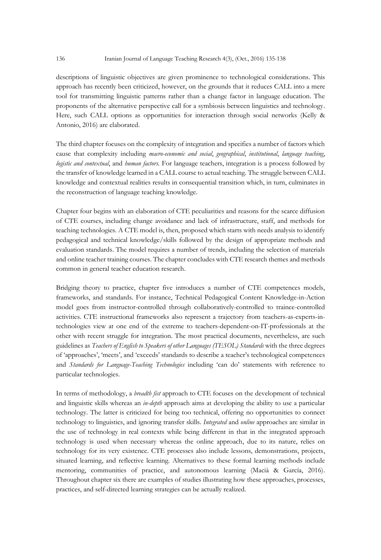descriptions of linguistic objectives are given prominence to technological considerations. This approach has recently been criticized, however, on the grounds that it reduces CALL into a mere tool for transmitting linguistic patterns rather than a change factor in language education. The proponents of the alternative perspective call for a symbiosis between linguistics and technology. Here, such CALL options as opportunities for interaction through social networks (Kelly & Antonio, 2016) are elaborated.

The third chapter focuses on the complexity of integration and specifies a number of factors which cause that complexity including *macro-economic and social*, *geographical*, *institutional*, *language teaching*, *logistic and contextual*, and *human factors.* For language teachers, integration is a process followed by the transfer of knowledge learned in a CALL course to actual teaching. The struggle between CALL knowledge and contextual realities results in consequential transition which, in turn, culminates in the reconstruction of language teaching knowledge.

Chapter four begins with an elaboration of CTE peculiarities and reasons for the scarce diffusion of CTE courses, including change avoidance and lack of infrastructure, staff, and methods for teaching technologies. A CTE model is, then, proposed which starts with needs analysis to identify pedagogical and technical knowledge/skills followed by the design of appropriate methods and evaluation standards. The model requires a number of trends, including the selection of materials and online teacher training courses. The chapter concludes with CTE research themes and methods common in general teacher education research.

Bridging theory to practice, chapter five introduces a number of CTE competences models, frameworks, and standards. For instance, Technical Pedagogical Content Knowledge-in-Action model goes from instructor-controlled through collaboratively-controlled to trainee-controlled activities. CTE instructional frameworks also represent a trajectory from teachers-as-experts-intechnologies view at one end of the extreme to teachers-dependent-on-IT-professionals at the other with recent struggle for integration. The most practical documents, nevertheless, are such guidelines as *Teachers of English to Speakers of other Languages (TESOL) Standards* with the three degrees of 'approaches', 'meets', and 'exceeds' standards to describe a teacher's technological competences and *Standards for Language-Teaching Technologies* including 'can do' statements with reference to particular technologies.

In terms of methodology, a *breadth fist* approach to CTE focuses on the development of technical and linguistic skills whereas an *in-depth* approach aims at developing the ability to use a particular technology. The latter is criticized for being too technical, offering no opportunities to connect technology to linguistics, and ignoring transfer skills. *Integrated* and *online* approaches are similar in the use of technology in real contexts while being different in that in the integrated approach technology is used when necessary whereas the online approach, due to its nature, relies on technology for its very existence. CTE processes also include lessons, demonstrations, projects, situated learning, and reflective learning. Alternatives to these formal learning methods include mentoring, communities of practice, and autonomous learning (Macià & García, 2016). Throughout chapter six there are examples of studies illustrating how these approaches, processes, practices, and self-directed learning strategies can be actually realized.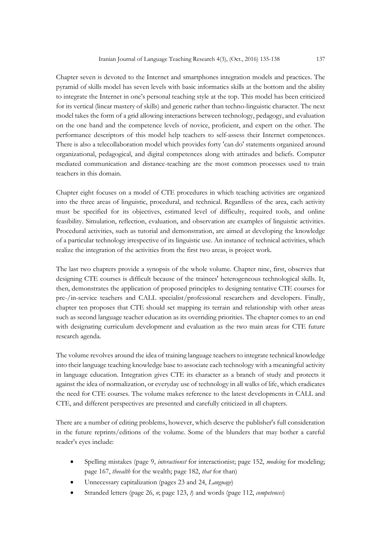Chapter seven is devoted to the Internet and smartphones integration models and practices. The pyramid of skills model has seven levels with basic informatics skills at the bottom and the ability to integrate the Internet in one's personal teaching style at the top. This model has been criticized for its vertical (linear mastery of skills) and generic rather than techno-linguistic character. The next model takes the form of a grid allowing interactions between technology, pedagogy, and evaluation on the one hand and the competence levels of novice, proficient, and expert on the other. The performance descriptors of this model help teachers to self-assess their Internet competences. There is also a telecollaboration model which provides forty 'can do' statements organized around organizational, pedagogical, and digital competences along with attitudes and beliefs. Computer mediated communication and distance-teaching are the most common processes used to train teachers in this domain.

Chapter eight focuses on a model of CTE procedures in which teaching activities are organized into the three areas of linguistic, procedural, and technical. Regardless of the area, each activity must be specified for its objectives, estimated level of difficulty, required tools, and online feasibility. Simulation, reflection, evaluation, and observation are examples of linguistic activities. Procedural activities, such as tutorial and demonstration, are aimed at developing the knowledge of a particular technology irrespective of its linguistic use. An instance of technical activities, which realize the integration of the activities from the first two areas, is project work.

The last two chapters provide a synopsis of the whole volume. Chapter nine, first, observes that designing CTE courses is difficult because of the trainees' heterogeneous technological skills. It, then, demonstrates the application of proposed principles to designing tentative CTE courses for pre-/in-service teachers and CALL specialist/professional researchers and developers. Finally, chapter ten proposes that CTE should set mapping its terrain and relationship with other areas such as second language teacher education as its overriding priorities. The chapter comes to an end with designating curriculum development and evaluation as the two main areas for CTE future research agenda.

The volume revolves around the idea of training language teachers to integrate technical knowledge into their language teaching knowledge base to associate each technology with a meaningful activity in language education. Integration gives CTE its character as a branch of study and protects it against the idea of normalization, or everyday use of technology in all walks of life, which eradicates the need for CTE courses. The volume makes reference to the latest developments in CALL and CTE, and different perspectives are presented and carefully criticized in all chapters.

There are a number of editing problems, however, which deserve the publisher's full consideration in the future reprints/editions of the volume. Some of the blunders that may bother a careful reader's eyes include:

- Spelling mistakes (page 9, *interactionst* for interactionist; page 152, *modeing* for modeling; page 167, *theealth* for the wealth; page 182, *that* for than)
- Unnecessary capitalization (pages 23 and 24, *Language*)
- Stranded letters (page 26, *n*; page 123, *t*) and words (page 112, *competences*)